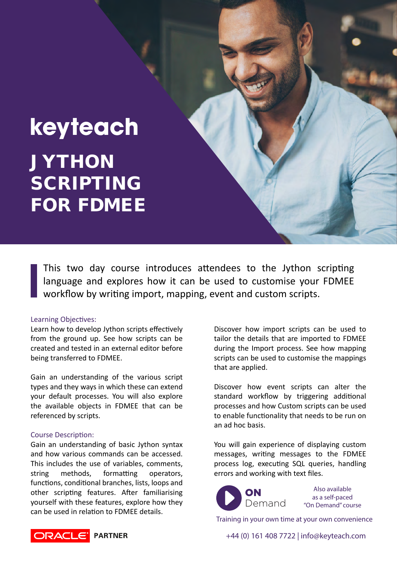# keyteach JYTHON SCRIPTING FOR FDMEE

This two day course introduces attendees to the Jython scripting language and explores how it can be used to customise your FDMEE workflow by writing import, mapping, event and custom scripts.

#### Learning Objectives:

Learn how to develop Jython scripts effectively from the ground up. See how scripts can be created and tested in an external editor before being transferred to FDMEE.

Gain an understanding of the various script types and they ways in which these can extend your default processes. You will also explore the available objects in FDMEE that can be referenced by scripts.

### Course Description:

Gain an understanding of basic Jython syntax and how various commands can be accessed. This includes the use of variables, comments, string methods, formatting operators, functions, conditional branches, lists, loops and other scripting features. After familiarising yourself with these features, explore how they can be used in relation to FDMEE details.

Discover how import scripts can be used to tailor the details that are imported to FDMEE during the Import process. See how mapping scripts can be used to customise the mappings that are applied.

Discover how event scripts can alter the standard workflow by triggering additional processes and how Custom scripts can be used to enable functionality that needs to be run on an ad hoc basis.

You will gain experience of displaying custom messages, writing messages to the FDMEE process log, execu�ng SQL queries, handling errors and working with text files.



Also available as a self-paced "On Demand" course

Training in your own time at your own convenience

+44 (0) 161 408 7722 | info@keyteach.com